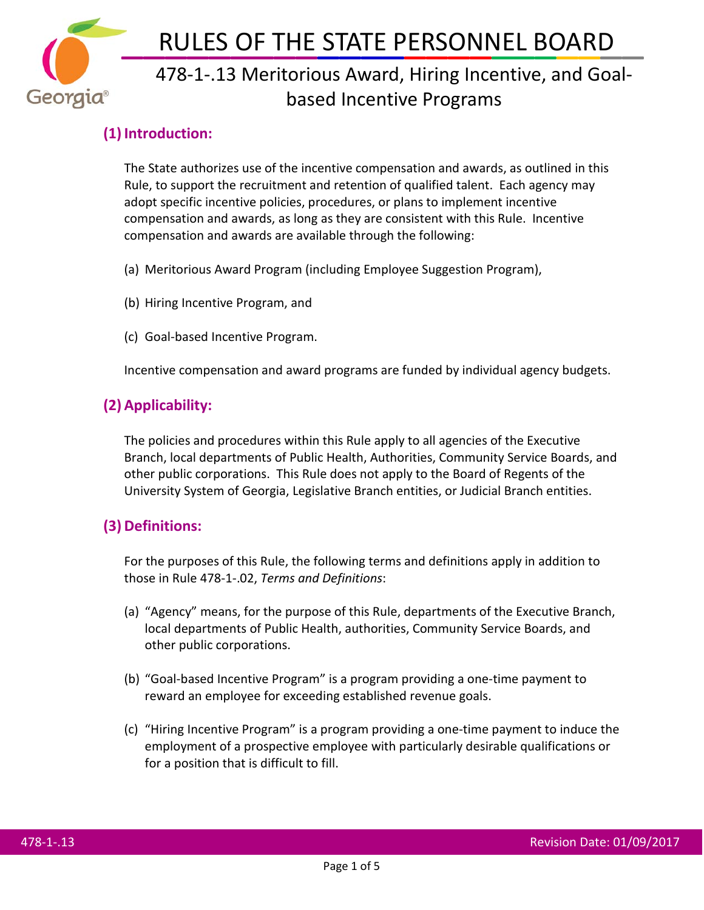

# 478-1-.13 Meritorious Award, Hiring Incentive, and Goalbased Incentive Programs

# **(1) Introduction:**

The State authorizes use of the incentive compensation and awards, as outlined in this Rule, to support the recruitment and retention of qualified talent. Each agency may adopt specific incentive policies, procedures, or plans to implement incentive compensation and awards, as long as they are consistent with this Rule. Incentive compensation and awards are available through the following:

- (a) Meritorious Award Program (including Employee Suggestion Program),
- (b) Hiring Incentive Program, and
- (c) Goal-based Incentive Program.

Incentive compensation and award programs are funded by individual agency budgets.

# **(2) Applicability:**

The policies and procedures within this Rule apply to all agencies of the Executive Branch, local departments of Public Health, Authorities, Community Service Boards, and other public corporations. This Rule does not apply to the Board of Regents of the University System of Georgia, Legislative Branch entities, or Judicial Branch entities.

# **(3) Definitions:**

For the purposes of this Rule, the following terms and definitions apply in addition to those in Rule 478-1-.02, *Terms and Definitions*:

- (a) "Agency" means, for the purpose of this Rule, departments of the Executive Branch, local departments of Public Health, authorities, Community Service Boards, and other public corporations.
- (b) "Goal-based Incentive Program" is a program providing a one-time payment to reward an employee for exceeding established revenue goals.
- (c) "Hiring Incentive Program" is a program providing a one-time payment to induce the employment of a prospective employee with particularly desirable qualifications or for a position that is difficult to fill.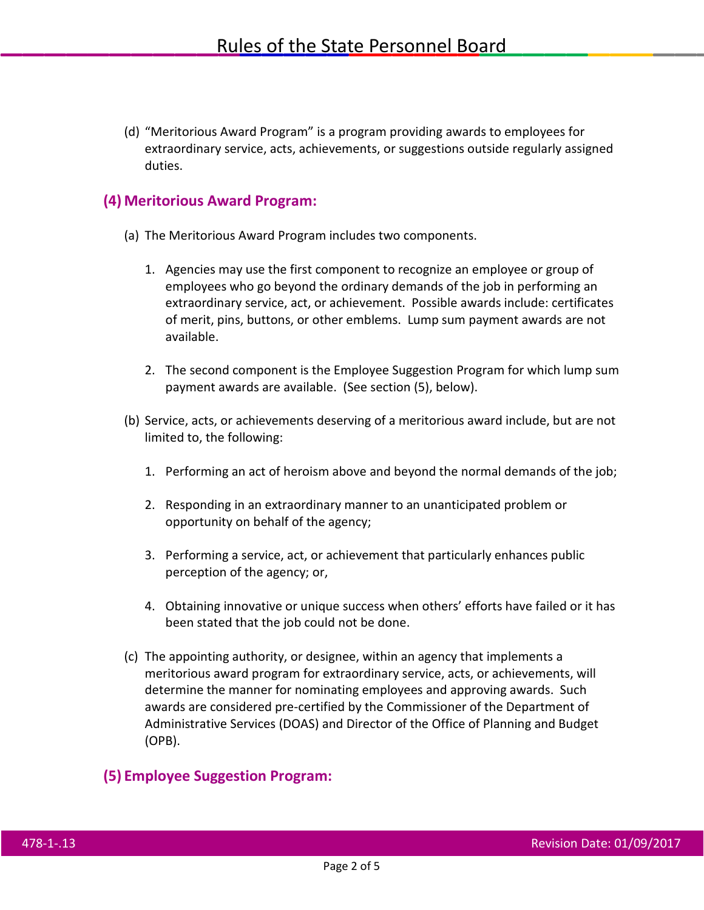(d) "Meritorious Award Program" is a program providing awards to employees for extraordinary service, acts, achievements, or suggestions outside regularly assigned duties.

### **(4) Meritorious Award Program:**

- (a) The Meritorious Award Program includes two components.
	- 1. Agencies may use the first component to recognize an employee or group of employees who go beyond the ordinary demands of the job in performing an extraordinary service, act, or achievement. Possible awards include: certificates of merit, pins, buttons, or other emblems. Lump sum payment awards are not available.
	- 2. The second component is the Employee Suggestion Program for which lump sum payment awards are available. (See section (5), below).
- (b) Service, acts, or achievements deserving of a meritorious award include, but are not limited to, the following:
	- 1. Performing an act of heroism above and beyond the normal demands of the job;
	- 2. Responding in an extraordinary manner to an unanticipated problem or opportunity on behalf of the agency;
	- 3. Performing a service, act, or achievement that particularly enhances public perception of the agency; or,
	- 4. Obtaining innovative or unique success when others' efforts have failed or it has been stated that the job could not be done.
- (c) The appointing authority, or designee, within an agency that implements a meritorious award program for extraordinary service, acts, or achievements, will determine the manner for nominating employees and approving awards. Such awards are considered pre-certified by the Commissioner of the Department of Administrative Services (DOAS) and Director of the Office of Planning and Budget (OPB).

### **(5) Employee Suggestion Program:**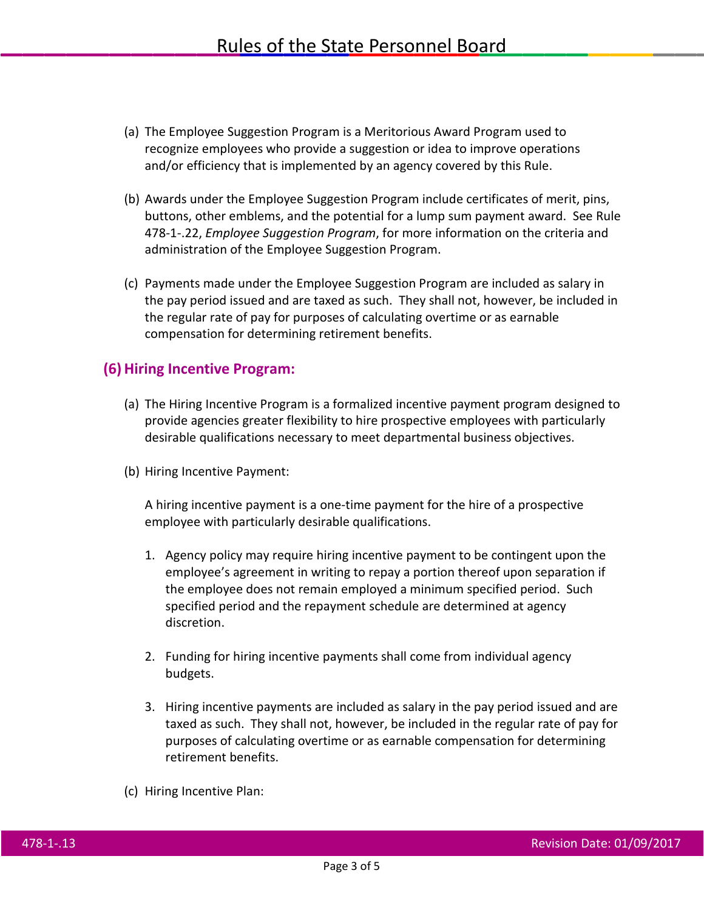- (a) The Employee Suggestion Program is a Meritorious Award Program used to recognize employees who provide a suggestion or idea to improve operations and/or efficiency that is implemented by an agency covered by this Rule.
- (b) Awards under the Employee Suggestion Program include certificates of merit, pins, buttons, other emblems, and the potential for a lump sum payment award. See Rule 478-1-.22, *Employee Suggestion Program*, for more information on the criteria and administration of the Employee Suggestion Program.
- (c) Payments made under the Employee Suggestion Program are included as salary in the pay period issued and are taxed as such. They shall not, however, be included in the regular rate of pay for purposes of calculating overtime or as earnable compensation for determining retirement benefits.

#### **(6)Hiring Incentive Program:**

- (a) The Hiring Incentive Program is a formalized incentive payment program designed to provide agencies greater flexibility to hire prospective employees with particularly desirable qualifications necessary to meet departmental business objectives.
- (b) Hiring Incentive Payment:

A hiring incentive payment is a one-time payment for the hire of a prospective employee with particularly desirable qualifications.

- 1. Agency policy may require hiring incentive payment to be contingent upon the employee's agreement in writing to repay a portion thereof upon separation if the employee does not remain employed a minimum specified period. Such specified period and the repayment schedule are determined at agency discretion.
- 2. Funding for hiring incentive payments shall come from individual agency budgets.
- 3. Hiring incentive payments are included as salary in the pay period issued and are taxed as such. They shall not, however, be included in the regular rate of pay for purposes of calculating overtime or as earnable compensation for determining retirement benefits.
- (c) Hiring Incentive Plan: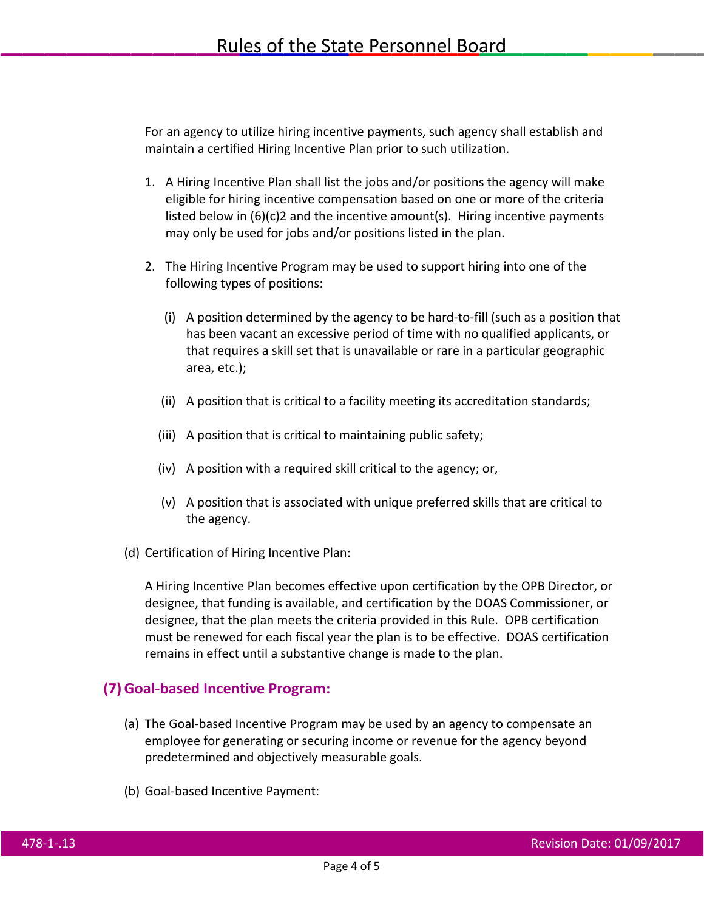For an agency to utilize hiring incentive payments, such agency shall establish and maintain a certified Hiring Incentive Plan prior to such utilization.

- 1. A Hiring Incentive Plan shall list the jobs and/or positions the agency will make eligible for hiring incentive compensation based on one or more of the criteria listed below in  $(6)(c)$  and the incentive amount(s). Hiring incentive payments may only be used for jobs and/or positions listed in the plan.
- 2. The Hiring Incentive Program may be used to support hiring into one of the following types of positions:
	- (i) A position determined by the agency to be hard-to-fill (such as a position that has been vacant an excessive period of time with no qualified applicants, or that requires a skill set that is unavailable or rare in a particular geographic area, etc.);
	- (ii) A position that is critical to a facility meeting its accreditation standards;
	- (iii) A position that is critical to maintaining public safety;
	- (iv) A position with a required skill critical to the agency; or,
	- (v) A position that is associated with unique preferred skills that are critical to the agency.
- (d) Certification of Hiring Incentive Plan:

A Hiring Incentive Plan becomes effective upon certification by the OPB Director, or designee, that funding is available, and certification by the DOAS Commissioner, or designee, that the plan meets the criteria provided in this Rule. OPB certification must be renewed for each fiscal year the plan is to be effective. DOAS certification remains in effect until a substantive change is made to the plan.

### **(7)Goal-based Incentive Program:**

- (a) The Goal-based Incentive Program may be used by an agency to compensate an employee for generating or securing income or revenue for the agency beyond predetermined and objectively measurable goals.
- (b) Goal-based Incentive Payment: